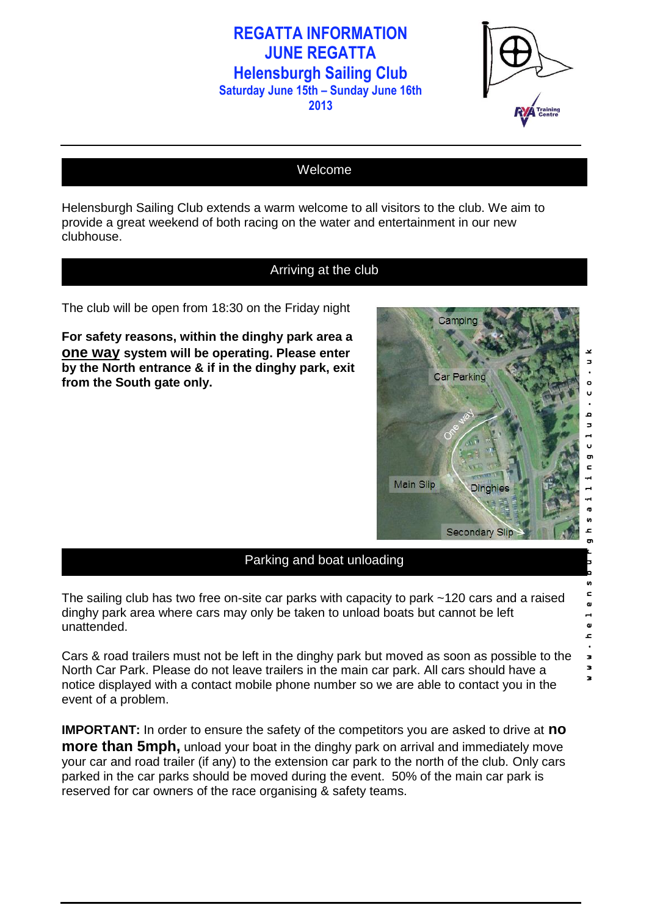**2013**



### Welcome

Helensburgh Sailing Club extends a warm welcome to all visitors to the club. We aim to provide a great weekend of both racing on the water and entertainment in our new clubhouse.

### Arriving at the club

The club will be open from 18:30 on the Friday night

**For safety reasons, within the dinghy park area a one way system will be operating. Please enter by the North entrance & if in the dinghy park, exit from the South gate only.** 



n  $\epsilon$  $\blacksquare$  $\mathbf{a}$  $\mathbf{r}$  $\bullet$  $\overline{\phantom{a}}$  $\overline{\mathbf{z}}$  $\overline{\mathbf{z}}$ 

#### Parking and boat unloading

The sailing club has two free on-site car parks with capacity to park ~120 cars and a raised dinghy park area where cars may only be taken to unload boats but cannot be left unattended.

Cars & road trailers must not be left in the dinghy park but moved as soon as possible to the North Car Park. Please do not leave trailers in the main car park. All cars should have a notice displayed with a contact mobile phone number so we are able to contact you in the event of a problem.

**IMPORTANT:** In order to ensure the safety of the competitors you are asked to drive at **no more than 5mph,** unload your boat in the dinghy park on arrival and immediately move your car and road trailer (if any) to the extension car park to the north of the club. Only cars parked in the car parks should be moved during the event. 50% of the main car park is reserved for car owners of the race organising & safety teams.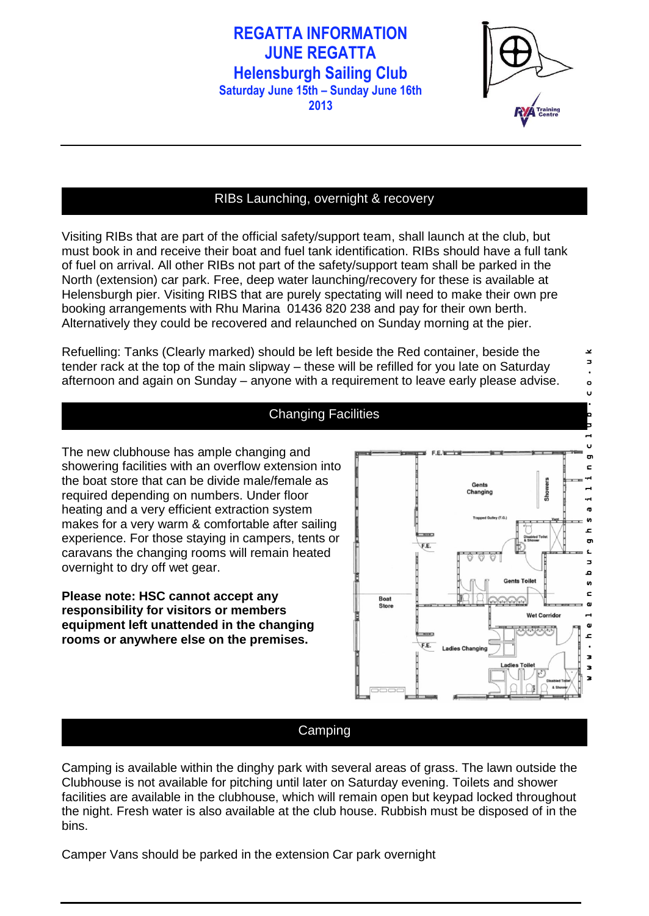**2013**



 $\overline{\mathbf{x}}$  $\overline{a}$  $\bullet$ U

## RIBs Launching, overnight & recovery

Visiting RIBs that are part of the official safety/support team, shall launch at the club, but must book in and receive their boat and fuel tank identification. RIBs should have a full tank of fuel on arrival. All other RIBs not part of the safety/support team shall be parked in the North (extension) car park. Free, deep water launching/recovery for these is available at Helensburgh pier. Visiting RIBS that are purely spectating will need to make their own pre booking arrangements with Rhu Marina 01436 820 238 and pay for their own berth. Alternatively they could be recovered and relaunched on Sunday morning at the pier.

Refuelling: Tanks (Clearly marked) should be left beside the Red container, beside the tender rack at the top of the main slipway – these will be refilled for you late on Saturday afternoon and again on Sunday – anyone with a requirement to leave early please advise.



#### Changing Facilities

The new clubhouse has ample changing and showering facilities with an overflow extension into the boat store that can be divide male/female as required depending on numbers. Under floor heating and a very efficient extraction system makes for a very warm & comfortable after sailing experience. For those staying in campers, tents or caravans the changing rooms will remain heated overnight to dry off wet gear.

**Please note: HSC cannot accept any responsibility for visitors or members equipment left unattended in the changing rooms or anywhere else on the premises.**

#### Camping

Camping is available within the dinghy park with several areas of grass. The lawn outside the Clubhouse is not available for pitching until later on Saturday evening. Toilets and shower facilities are available in the clubhouse, which will remain open but keypad locked throughout the night. Fresh water is also available at the club house. Rubbish must be disposed of in the bins.

Camper Vans should be parked in the extension Car park overnight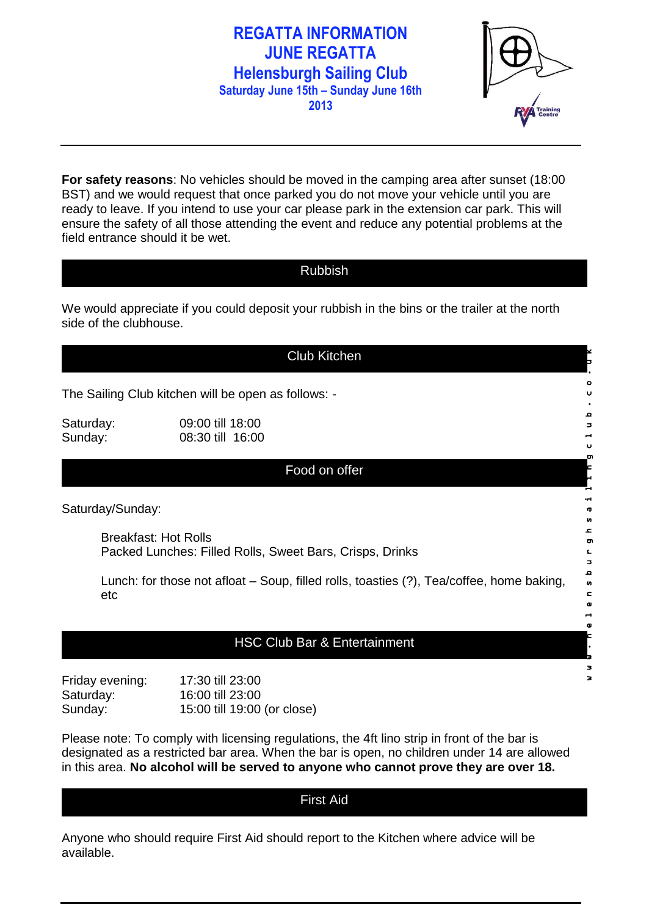

**For safety reasons**: No vehicles should be moved in the camping area after sunset (18:00 BST) and we would request that once parked you do not move your vehicle until you are ready to leave. If you intend to use your car please park in the extension car park. This will ensure the safety of all those attending the event and reduce any potential problems at the field entrance should it be wet.

#### Rubbish

We would appreciate if you could deposit your rubbish in the bins or the trailer at the north side of the clubhouse.

|                                                                                         | <b>Club Kitchen</b>                                                                             |             |  |  |
|-----------------------------------------------------------------------------------------|-------------------------------------------------------------------------------------------------|-------------|--|--|
|                                                                                         | The Sailing Club kitchen will be open as follows: -                                             |             |  |  |
| Saturday:<br>Sunday:                                                                    | 09:00 till 18:00<br>08:30 till 16:00                                                            | 3<br>υ<br>ō |  |  |
|                                                                                         | Food on offer                                                                                   |             |  |  |
|                                                                                         | Saturday/Sunday:                                                                                | n<br>2      |  |  |
| <b>Breakfast: Hot Rolls</b><br>Packed Lunches: Filled Rolls, Sweet Bars, Crisps, Drinks |                                                                                                 |             |  |  |
|                                                                                         | Lunch: for those not afloat – Soup, filled rolls, toasties (?), Tea/coffee, home baking,<br>etc | ء<br>n<br>ς |  |  |
|                                                                                         | <b>HSC Club Bar &amp; Entertainment</b>                                                         |             |  |  |
|                                                                                         |                                                                                                 | з           |  |  |
|                                                                                         | $E_{\text{right}}$<br>17.20 fill 22.00                                                          |             |  |  |

| Friday evening: | 17:30 till 23:00            |
|-----------------|-----------------------------|
| Saturday:       | 16:00 till 23:00            |
| Sunday:         | 15:00 till 19:00 (or close) |

Please note: To comply with licensing regulations, the 4ft lino strip in front of the bar is designated as a restricted bar area. When the bar is open, no children under 14 are allowed in this area. **No alcohol will be served to anyone who cannot prove they are over 18.**

### First Aid

Anyone who should require First Aid should report to the Kitchen where advice will be available.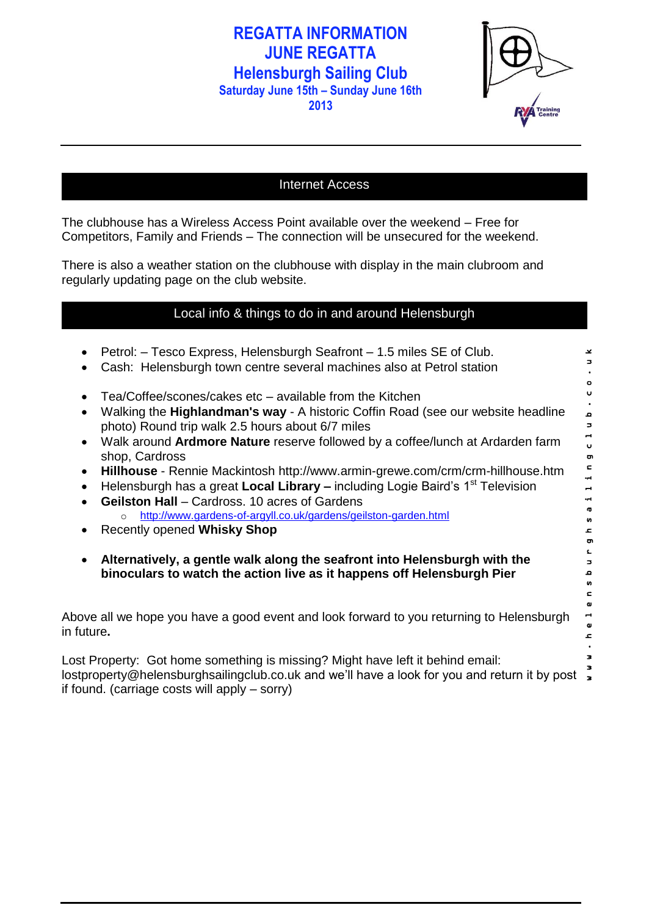**2013**

| <b>RYA</b> Training |
|---------------------|

## Internet Access

The clubhouse has a Wireless Access Point available over the weekend – Free for Competitors, Family and Friends – The connection will be unsecured for the weekend.

There is also a weather station on the clubhouse with display in the main clubroom and regularly updating page on the club website.

## Local info & things to do in and around Helensburgh

| Petrol: - Tesco Express, Helensburgh Seafront - 1.5 miles SE of Club.<br>Cash: Helensburgh town centre several machines also at Petrol station                                                                                                                                                                                                                                                                                                                                                                                                                                                                                                                                                                  | ¥                                                                  |  |
|-----------------------------------------------------------------------------------------------------------------------------------------------------------------------------------------------------------------------------------------------------------------------------------------------------------------------------------------------------------------------------------------------------------------------------------------------------------------------------------------------------------------------------------------------------------------------------------------------------------------------------------------------------------------------------------------------------------------|--------------------------------------------------------------------|--|
| Tea/Coffee/scones/cakes etc – available from the Kitchen<br>$\bullet$<br>Walking the <b>Highlandman's way</b> - A historic Coffin Road (see our website headline<br>photo) Round trip walk 2.5 hours about 6/7 miles<br>Walk around <b>Ardmore Nature</b> reserve followed by a coffee/lunch at Ardarden farm<br>shop, Cardross<br>Hillhouse - Rennie Mackintosh http://www.armin-grewe.com/crm/crm-hillhouse.htm<br>$\bullet$<br>Helensburgh has a great Local Library - including Logie Baird's 1 <sup>st</sup> Television<br>$\bullet$<br><b>Geilston Hall</b> – Cardross, 10 acres of Gardens<br>http://www.gardens-of-argyll.co.uk/gardens/geilston-garden.html<br>$\Omega$<br>Recently opened Whisky Shop | ۰<br>u<br><b>Q</b><br>3<br>Ü<br>ō<br>$\blacksquare$<br>n<br>2<br>ō |  |
| Alternatively, a gentle walk along the seafront into Helensburgh with the<br>binoculars to watch the action live as it happens off Helensburgh Pier                                                                                                                                                                                                                                                                                                                                                                                                                                                                                                                                                             | n                                                                  |  |
| Above all we hope you have a good event and look forward to you returning to Helensburgh<br>in future.                                                                                                                                                                                                                                                                                                                                                                                                                                                                                                                                                                                                          | c                                                                  |  |
| Lost Property: Got home something is missing? Might have left it behind email:<br>lostproperty@helensburghsailingclub.co.uk and we'll have a look for you and return it by post $\bar{\mathbf{r}}$<br>if found. (carriage costs will apply – sorry)                                                                                                                                                                                                                                                                                                                                                                                                                                                             |                                                                    |  |